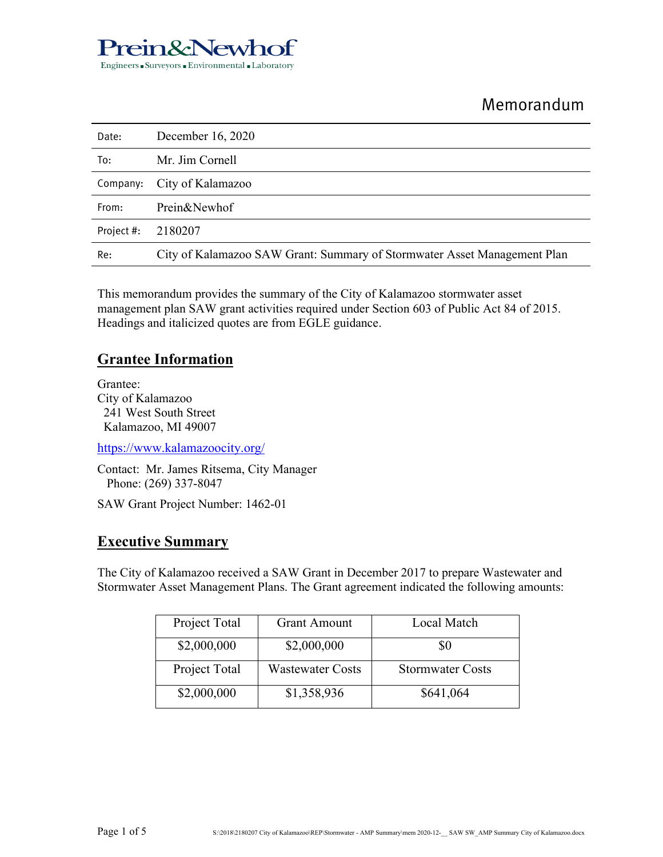

# Memorandum

| Date:      | December 16, 2020                                                        |
|------------|--------------------------------------------------------------------------|
| To:        | Mr. Jim Cornell                                                          |
|            | Company: City of Kalamazoo                                               |
| From:      | Prein&Newhof                                                             |
| Project #: | 2180207                                                                  |
| Re:        | City of Kalamazoo SAW Grant: Summary of Stormwater Asset Management Plan |

This memorandum provides the summary of the City of Kalamazoo stormwater asset management plan SAW grant activities required under Section 603 of Public Act 84 of 2015. Headings and italicized quotes are from EGLE guidance.

### **Grantee Information**

Grantee: City of Kalamazoo 241 West South Street Kalamazoo, MI 49007

https://www.kalamazoocity.org/

Contact: Mr. James Ritsema, City Manager Phone: (269) 337-8047

SAW Grant Project Number: 1462-01

#### **Executive Summary**

The City of Kalamazoo received a SAW Grant in December 2017 to prepare Wastewater and Stormwater Asset Management Plans. The Grant agreement indicated the following amounts:

| Project Total | <b>Grant Amount</b>     | Local Match             |
|---------------|-------------------------|-------------------------|
| \$2,000,000   | \$2,000,000             | \$0                     |
| Project Total | <b>Wastewater Costs</b> | <b>Stormwater Costs</b> |
| \$2,000,000   | \$1,358,936             | \$641,064               |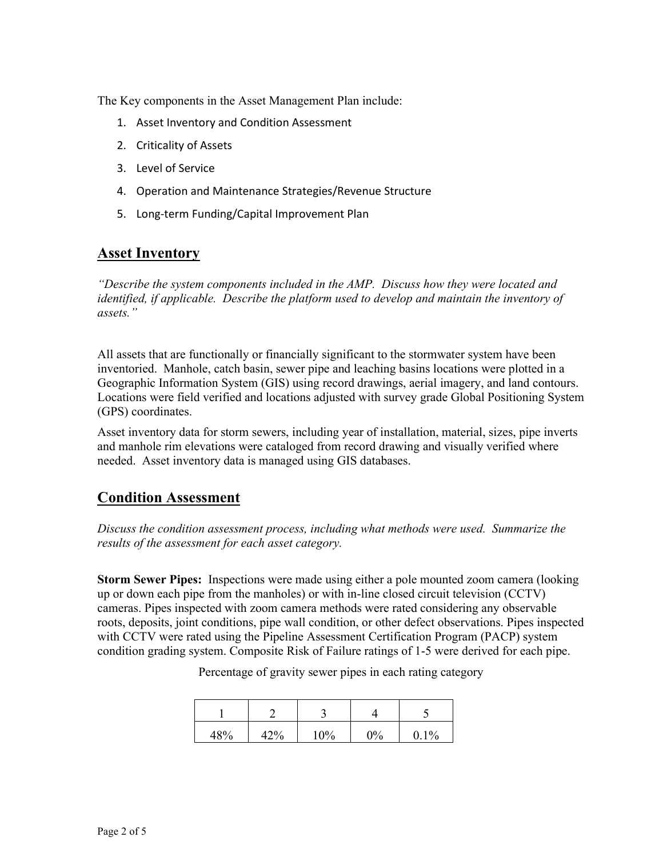The Key components in the Asset Management Plan include:

- 1. Asset Inventory and Condition Assessment
- 2. Criticality of Assets
- 3. Level of Service
- 4. Operation and Maintenance Strategies/Revenue Structure
- 5. Long-term Funding/Capital Improvement Plan

#### **Asset Inventory**

*"Describe the system components included in the AMP. Discuss how they were located and identified, if applicable. Describe the platform used to develop and maintain the inventory of assets."* 

All assets that are functionally or financially significant to the stormwater system have been inventoried. Manhole, catch basin, sewer pipe and leaching basins locations were plotted in a Geographic Information System (GIS) using record drawings, aerial imagery, and land contours. Locations were field verified and locations adjusted with survey grade Global Positioning System (GPS) coordinates.

Asset inventory data for storm sewers, including year of installation, material, sizes, pipe inverts and manhole rim elevations were cataloged from record drawing and visually verified where needed. Asset inventory data is managed using GIS databases.

#### **Condition Assessment**

*Discuss the condition assessment process, including what methods were used. Summarize the results of the assessment for each asset category.* 

**Storm Sewer Pipes:** Inspections were made using either a pole mounted zoom camera (looking up or down each pipe from the manholes) or with in-line closed circuit television (CCTV) cameras. Pipes inspected with zoom camera methods were rated considering any observable roots, deposits, joint conditions, pipe wall condition, or other defect observations. Pipes inspected with CCTV were rated using the Pipeline Assessment Certification Program (PACP) system condition grading system. Composite Risk of Failure ratings of 1-5 were derived for each pipe.

| 48% | 42% | 10% | $0\%$ | $0.1\%$ |
|-----|-----|-----|-------|---------|

Percentage of gravity sewer pipes in each rating category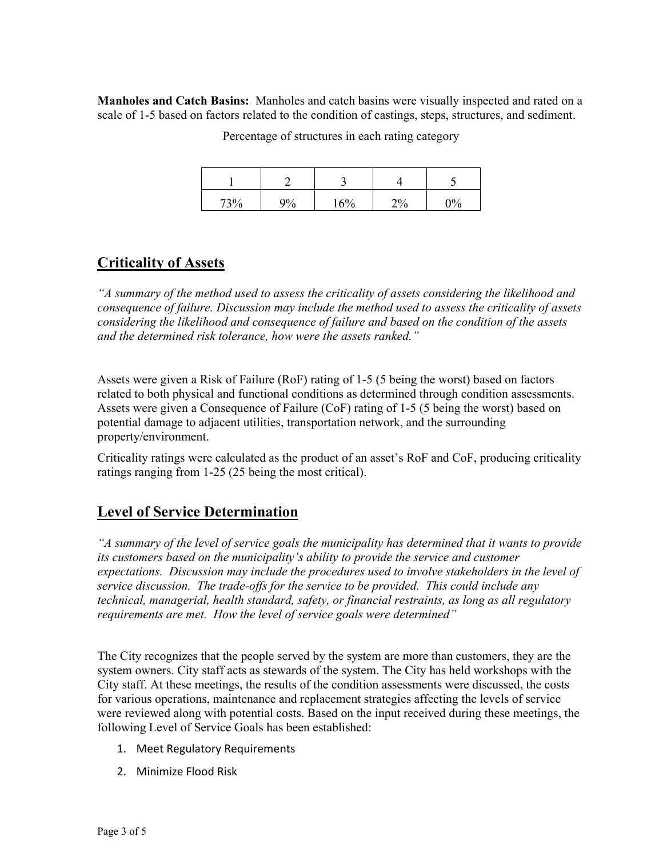**Manholes and Catch Basins:** Manholes and catch basins were visually inspected and rated on a scale of 1-5 based on factors related to the condition of castings, steps, structures, and sediment.

| 73% | 9% | 16% | $2\%$ | $\gamma_0$ |
|-----|----|-----|-------|------------|

Percentage of structures in each rating category

### **Criticality of Assets**

*"A summary of the method used to assess the criticality of assets considering the likelihood and consequence of failure. Discussion may include the method used to assess the criticality of assets considering the likelihood and consequence of failure and based on the condition of the assets and the determined risk tolerance, how were the assets ranked."* 

Assets were given a Risk of Failure (RoF) rating of 1-5 (5 being the worst) based on factors related to both physical and functional conditions as determined through condition assessments. Assets were given a Consequence of Failure (CoF) rating of 1-5 (5 being the worst) based on potential damage to adjacent utilities, transportation network, and the surrounding property/environment.

Criticality ratings were calculated as the product of an asset's RoF and CoF, producing criticality ratings ranging from 1-25 (25 being the most critical).

## **Level of Service Determination**

*"A summary of the level of service goals the municipality has determined that it wants to provide its customers based on the municipality's ability to provide the service and customer expectations. Discussion may include the procedures used to involve stakeholders in the level of service discussion. The trade-offs for the service to be provided. This could include any technical, managerial, health standard, safety, or financial restraints, as long as all regulatory requirements are met. How the level of service goals were determined"* 

The City recognizes that the people served by the system are more than customers, they are the system owners. City staff acts as stewards of the system. The City has held workshops with the City staff. At these meetings, the results of the condition assessments were discussed, the costs for various operations, maintenance and replacement strategies affecting the levels of service were reviewed along with potential costs. Based on the input received during these meetings, the following Level of Service Goals has been established:

- 1. Meet Regulatory Requirements
- 2. Minimize Flood Risk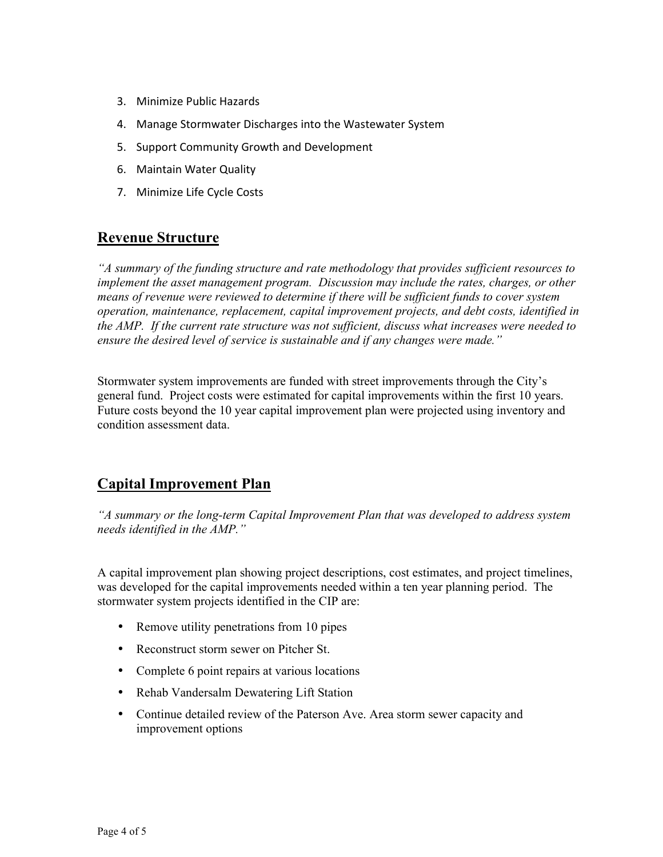- 3. Minimize Public Hazards
- 4. Manage Stormwater Discharges into the Wastewater System
- 5. Support Community Growth and Development
- 6. Maintain Water Quality
- 7. Minimize Life Cycle Costs

#### **Revenue Structure**

*"A summary of the funding structure and rate methodology that provides sufficient resources to implement the asset management program. Discussion may include the rates, charges, or other means of revenue were reviewed to determine if there will be sufficient funds to cover system operation, maintenance, replacement, capital improvement projects, and debt costs, identified in the AMP. If the current rate structure was not sufficient, discuss what increases were needed to ensure the desired level of service is sustainable and if any changes were made."* 

Stormwater system improvements are funded with street improvements through the City's general fund. Project costs were estimated for capital improvements within the first 10 years. Future costs beyond the 10 year capital improvement plan were projected using inventory and condition assessment data.

#### **Capital Improvement Plan**

*"A summary or the long-term Capital Improvement Plan that was developed to address system needs identified in the AMP."* 

A capital improvement plan showing project descriptions, cost estimates, and project timelines, was developed for the capital improvements needed within a ten year planning period. The stormwater system projects identified in the CIP are:

- Remove utility penetrations from 10 pipes
- Reconstruct storm sewer on Pitcher St.
- Complete 6 point repairs at various locations
- Rehab Vandersalm Dewatering Lift Station
- Continue detailed review of the Paterson Ave. Area storm sewer capacity and improvement options